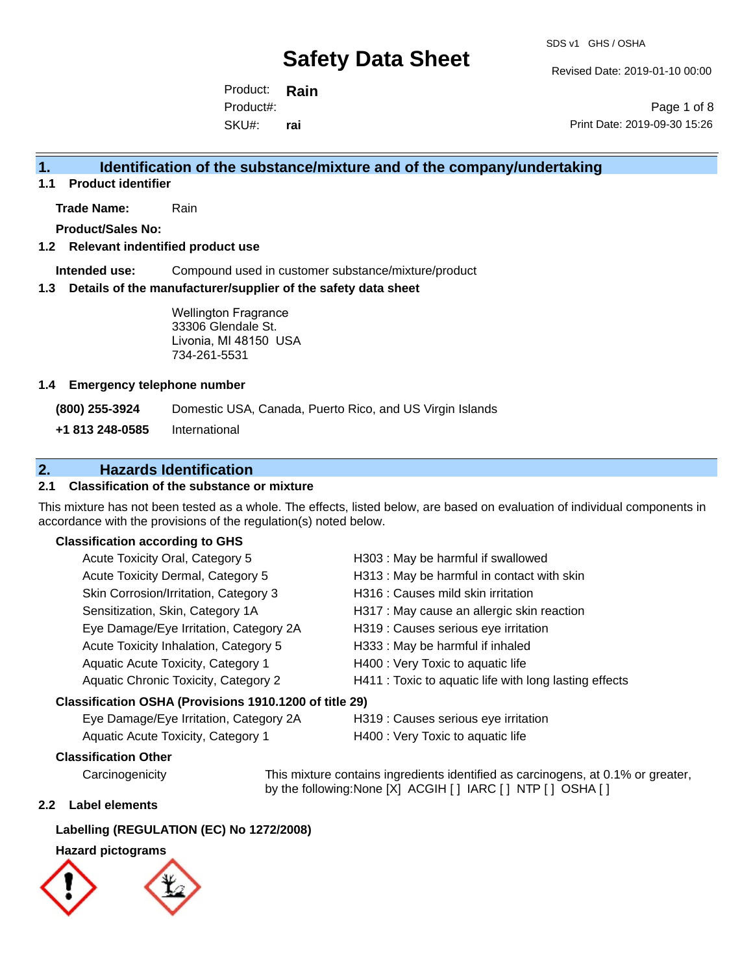Revised Date: 2019-01-10 00:00

Product: **Rain** SKU#: Product#: **rai**

Page 1 of 8 Print Date: 2019-09-30 15:26

## **1. Identification of the substance/mixture and of the company/undertaking**

**1.1 Product identifier**

**Trade Name:** Rain

**Product/Sales No:**

### **1.2 Relevant indentified product use**

**Intended use:** Compound used in customer substance/mixture/product

#### **1.3 Details of the manufacturer/supplier of the safety data sheet**

Wellington Fragrance 33306 Glendale St. Livonia, MI 48150 USA 734-261-5531

#### **1.4 Emergency telephone number**

**(800) 255-3924** Domestic USA, Canada, Puerto Rico, and US Virgin Islands

**+1 813 248-0585** International

## **2. Hazards Identification**

## **2.1 Classification of the substance or mixture**

This mixture has not been tested as a whole. The effects, listed below, are based on evaluation of individual components in accordance with the provisions of the regulation(s) noted below.

### **Classification according to GHS**

| Acute Toxicity Oral, Category 5                        | H303: May be harmful if swallowed                      |
|--------------------------------------------------------|--------------------------------------------------------|
| Acute Toxicity Dermal, Category 5                      | H313 : May be harmful in contact with skin             |
| Skin Corrosion/Irritation, Category 3                  | H316 : Causes mild skin irritation                     |
| Sensitization, Skin, Category 1A                       | H317 : May cause an allergic skin reaction             |
| Eye Damage/Eye Irritation, Category 2A                 | H319 : Causes serious eye irritation                   |
| Acute Toxicity Inhalation, Category 5                  | H333: May be harmful if inhaled                        |
| Aquatic Acute Toxicity, Category 1                     | H400 : Very Toxic to aquatic life                      |
| Aquatic Chronic Toxicity, Category 2                   | H411 : Toxic to aquatic life with long lasting effects |
| Classification OSHA (Provisions 1910.1200 of title 29) |                                                        |
|                                                        |                                                        |

Eye Damage/Eye Irritation, Category 2A H319 : Causes serious eye irritation

Aquatic Acute Toxicity, Category 1 H400 : Very Toxic to aquatic life

## **Classification Other**

Carcinogenicity This mixture contains ingredients identified as carcinogens, at 0.1% or greater, by the following:None [X] ACGIH [ ] IARC [ ] NTP [ ] OSHA [ ]

#### **2.2 Label elements**

## **Labelling (REGULATION (EC) No 1272/2008)**

## **Hazard pictograms**

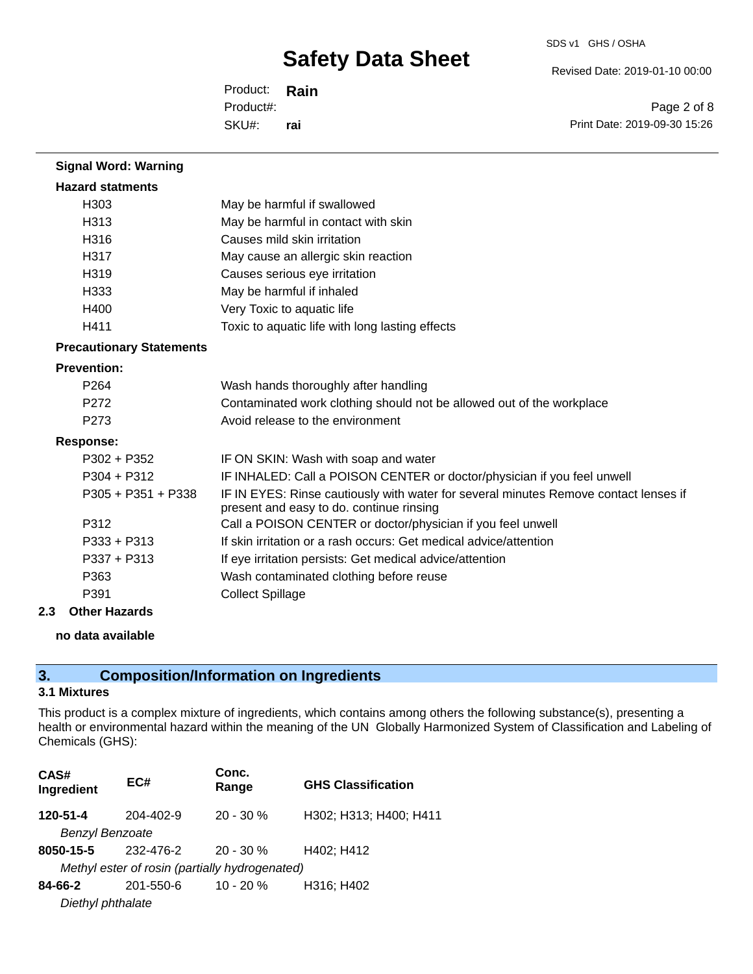Revised Date: 2019-01-10 00:00

Product: **Rain** SKU#: Product#: **rai**

Page 2 of 8 Print Date: 2019-09-30 15:26

| <b>Signal Word: Warning</b>     |                                                                                                                                  |
|---------------------------------|----------------------------------------------------------------------------------------------------------------------------------|
| <b>Hazard statments</b>         |                                                                                                                                  |
| H <sub>303</sub>                | May be harmful if swallowed                                                                                                      |
| H <sub>313</sub>                | May be harmful in contact with skin                                                                                              |
| H316                            | Causes mild skin irritation                                                                                                      |
| H317                            | May cause an allergic skin reaction                                                                                              |
| H <sub>3</sub> 19               | Causes serious eye irritation                                                                                                    |
| H333                            | May be harmful if inhaled                                                                                                        |
| H400                            | Very Toxic to aquatic life                                                                                                       |
| H411                            | Toxic to aquatic life with long lasting effects                                                                                  |
| <b>Precautionary Statements</b> |                                                                                                                                  |
| <b>Prevention:</b>              |                                                                                                                                  |
| P264                            | Wash hands thoroughly after handling                                                                                             |
| P <sub>272</sub>                | Contaminated work clothing should not be allowed out of the workplace                                                            |
| P <sub>273</sub>                | Avoid release to the environment                                                                                                 |
| <b>Response:</b>                |                                                                                                                                  |
| $P302 + P352$                   | IF ON SKIN: Wash with soap and water                                                                                             |
| $P304 + P312$                   | IF INHALED: Call a POISON CENTER or doctor/physician if you feel unwell                                                          |
| $P305 + P351 + P338$            | IF IN EYES: Rinse cautiously with water for several minutes Remove contact lenses if<br>present and easy to do. continue rinsing |
| P312                            | Call a POISON CENTER or doctor/physician if you feel unwell                                                                      |
| $P333 + P313$                   | If skin irritation or a rash occurs: Get medical advice/attention                                                                |
| $P337 + P313$                   | If eye irritation persists: Get medical advice/attention                                                                         |
| P363                            | Wash contaminated clothing before reuse                                                                                          |
| P391                            | <b>Collect Spillage</b>                                                                                                          |

### **2.3 Other Hazards**

## **no data available**

## **3. Composition/Information on Ingredients**

## **3.1 Mixtures**

This product is a complex mixture of ingredients, which contains among others the following substance(s), presenting a health or environmental hazard within the meaning of the UN Globally Harmonized System of Classification and Labeling of Chemicals (GHS):

| CAS#<br>Ingredient     | EC#                                            | Conc.<br>Range | <b>GHS Classification</b> |
|------------------------|------------------------------------------------|----------------|---------------------------|
| $120 - 51 - 4$         | $204 - 402 - 9$                                | $20 - 30 %$    | H302; H313; H400; H411    |
| <b>Benzyl Benzoate</b> |                                                |                |                           |
| 8050-15-5              | 232-476-2                                      | $20 - 30 \%$   | H402: H412                |
|                        | Methyl ester of rosin (partially hydrogenated) |                |                           |
| 84-66-2                | 201-550-6                                      | $10 - 20 \%$   | H316; H402                |
| Diethyl phthalate      |                                                |                |                           |
|                        |                                                |                |                           |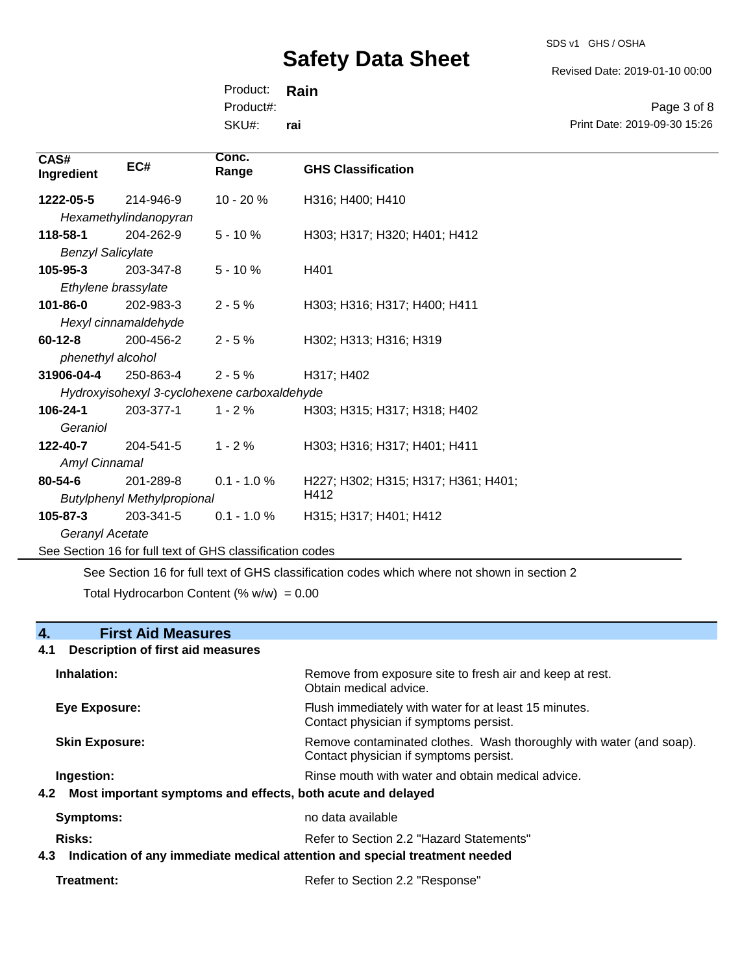SDS v1 GHS / OSHA

Revised Date: 2019-01-10 00:00

Product: **Rain** SKU#: Product#: **rai**

Page 3 of 8 Print Date: 2019-09-30 15:26

| 1222-05-5<br>214-946-9<br>$10 - 20%$<br>H316; H400; H410<br>Hexamethylindanopyran<br>118-58-1<br>204-262-9<br>$5 - 10%$<br>H303; H317; H320; H401; H412<br><b>Benzyl Salicylate</b><br>$105 - 95 - 3$<br>203-347-8<br>$5 - 10%$<br>H401<br>Ethylene brassylate<br>101-86-0<br>202-983-3<br>$2 - 5%$<br>H303; H316; H317; H400; H411<br>Hexyl cinnamaldehyde<br>200-456-2<br>$2 - 5%$<br>H302; H313; H316; H319<br>phenethyl alcohol<br>31906-04-4<br>250-863-4<br>$2 - 5%$<br>H317; H402<br>Hydroxyisohexyl 3-cyclohexene carboxaldehyde<br>106-24-1<br>203-377-1<br>$1 - 2%$<br>H303; H315; H317; H318; H402<br>Geraniol<br>122-40-7<br>204-541-5<br>$1 - 2 \%$<br>H303; H316; H317; H401; H411<br>Amyl Cinnamal<br>$0.1 - 1.0 %$<br>201-289-8<br>H227; H302; H315; H317; H361; H401;<br>H412<br><b>Butylphenyl Methylpropional</b><br>$105 - 87 - 3$<br>203-341-5<br>$0.1 - 1.0 %$<br>H315; H317; H401; H412<br>Geranyl Acetate<br>See Section 16 for full text of GHS classification codes | CAS#<br>Ingredient | EC# | Conc.<br>Range | <b>GHS Classification</b> |
|-----------------------------------------------------------------------------------------------------------------------------------------------------------------------------------------------------------------------------------------------------------------------------------------------------------------------------------------------------------------------------------------------------------------------------------------------------------------------------------------------------------------------------------------------------------------------------------------------------------------------------------------------------------------------------------------------------------------------------------------------------------------------------------------------------------------------------------------------------------------------------------------------------------------------------------------------------------------------------------------------|--------------------|-----|----------------|---------------------------|
|                                                                                                                                                                                                                                                                                                                                                                                                                                                                                                                                                                                                                                                                                                                                                                                                                                                                                                                                                                                               |                    |     |                |                           |
|                                                                                                                                                                                                                                                                                                                                                                                                                                                                                                                                                                                                                                                                                                                                                                                                                                                                                                                                                                                               |                    |     |                |                           |
|                                                                                                                                                                                                                                                                                                                                                                                                                                                                                                                                                                                                                                                                                                                                                                                                                                                                                                                                                                                               |                    |     |                |                           |
|                                                                                                                                                                                                                                                                                                                                                                                                                                                                                                                                                                                                                                                                                                                                                                                                                                                                                                                                                                                               |                    |     |                |                           |
|                                                                                                                                                                                                                                                                                                                                                                                                                                                                                                                                                                                                                                                                                                                                                                                                                                                                                                                                                                                               |                    |     |                |                           |
|                                                                                                                                                                                                                                                                                                                                                                                                                                                                                                                                                                                                                                                                                                                                                                                                                                                                                                                                                                                               |                    |     |                |                           |
|                                                                                                                                                                                                                                                                                                                                                                                                                                                                                                                                                                                                                                                                                                                                                                                                                                                                                                                                                                                               |                    |     |                |                           |
|                                                                                                                                                                                                                                                                                                                                                                                                                                                                                                                                                                                                                                                                                                                                                                                                                                                                                                                                                                                               |                    |     |                |                           |
|                                                                                                                                                                                                                                                                                                                                                                                                                                                                                                                                                                                                                                                                                                                                                                                                                                                                                                                                                                                               | $60 - 12 - 8$      |     |                |                           |
|                                                                                                                                                                                                                                                                                                                                                                                                                                                                                                                                                                                                                                                                                                                                                                                                                                                                                                                                                                                               |                    |     |                |                           |
|                                                                                                                                                                                                                                                                                                                                                                                                                                                                                                                                                                                                                                                                                                                                                                                                                                                                                                                                                                                               |                    |     |                |                           |
|                                                                                                                                                                                                                                                                                                                                                                                                                                                                                                                                                                                                                                                                                                                                                                                                                                                                                                                                                                                               |                    |     |                |                           |
|                                                                                                                                                                                                                                                                                                                                                                                                                                                                                                                                                                                                                                                                                                                                                                                                                                                                                                                                                                                               |                    |     |                |                           |
|                                                                                                                                                                                                                                                                                                                                                                                                                                                                                                                                                                                                                                                                                                                                                                                                                                                                                                                                                                                               |                    |     |                |                           |
|                                                                                                                                                                                                                                                                                                                                                                                                                                                                                                                                                                                                                                                                                                                                                                                                                                                                                                                                                                                               |                    |     |                |                           |
|                                                                                                                                                                                                                                                                                                                                                                                                                                                                                                                                                                                                                                                                                                                                                                                                                                                                                                                                                                                               |                    |     |                |                           |
|                                                                                                                                                                                                                                                                                                                                                                                                                                                                                                                                                                                                                                                                                                                                                                                                                                                                                                                                                                                               | 80-54-6            |     |                |                           |
|                                                                                                                                                                                                                                                                                                                                                                                                                                                                                                                                                                                                                                                                                                                                                                                                                                                                                                                                                                                               |                    |     |                |                           |
|                                                                                                                                                                                                                                                                                                                                                                                                                                                                                                                                                                                                                                                                                                                                                                                                                                                                                                                                                                                               |                    |     |                |                           |
|                                                                                                                                                                                                                                                                                                                                                                                                                                                                                                                                                                                                                                                                                                                                                                                                                                                                                                                                                                                               |                    |     |                |                           |
|                                                                                                                                                                                                                                                                                                                                                                                                                                                                                                                                                                                                                                                                                                                                                                                                                                                                                                                                                                                               |                    |     |                |                           |

See Section 16 for full text of GHS classification codes which where not shown in section 2 Total Hydrocarbon Content (%  $w/w$ ) = 0.00

## **4. First Aid Measures**

## **4.1 Description of first aid measures**

| Inhalation:                                                                                 | Remove from exposure site to fresh air and keep at rest.<br>Obtain medical advice.                            |
|---------------------------------------------------------------------------------------------|---------------------------------------------------------------------------------------------------------------|
| Eye Exposure:                                                                               | Flush immediately with water for at least 15 minutes.<br>Contact physician if symptoms persist.               |
| <b>Skin Exposure:</b>                                                                       | Remove contaminated clothes. Wash thoroughly with water (and soap).<br>Contact physician if symptoms persist. |
| Ingestion:<br>Most important symptoms and effects, both acute and delayed<br>4.2            | Rinse mouth with water and obtain medical advice.                                                             |
| Symptoms:                                                                                   | no data available                                                                                             |
| Risks:<br>Indication of any immediate medical attention and special treatment needed<br>4.3 | Refer to Section 2.2 "Hazard Statements"                                                                      |

```
Treatment: Treatment: Treatment: Refer to Section 2.2 "Response"
```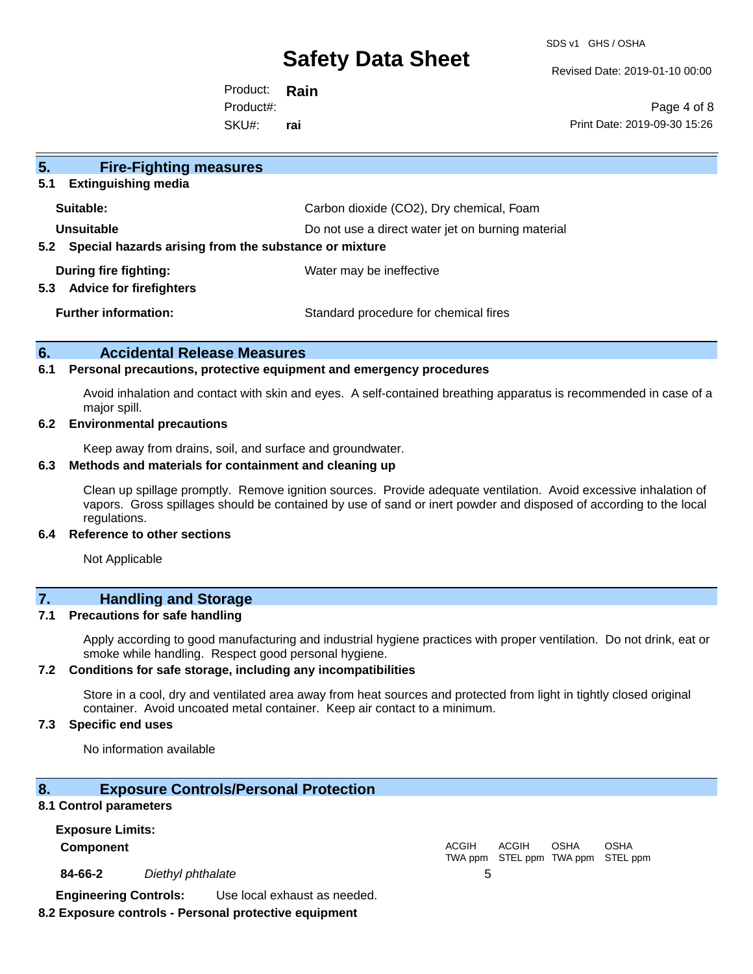SDS v1 GHS / OSHA

Revised Date: 2019-01-10 00:00

Product: **Rain** SKU#: Product#: **rai**

Page 4 of 8 Print Date: 2019-09-30 15:26

| 5.<br><b>Fire-Fighting measures</b>                            |                                                   |
|----------------------------------------------------------------|---------------------------------------------------|
| <b>Extinguishing media</b><br>5.1                              |                                                   |
| Suitable:                                                      | Carbon dioxide (CO2), Dry chemical, Foam          |
| Unsuitable                                                     | Do not use a direct water jet on burning material |
| Special hazards arising from the substance or mixture<br>5.2   |                                                   |
| During fire fighting:<br><b>Advice for firefighters</b><br>5.3 | Water may be ineffective                          |
| <b>Further information:</b>                                    | Standard procedure for chemical fires             |

## **6. Accidental Release Measures**

#### **6.1 Personal precautions, protective equipment and emergency procedures**

Avoid inhalation and contact with skin and eyes. A self-contained breathing apparatus is recommended in case of a major spill.

#### **6.2 Environmental precautions**

Keep away from drains, soil, and surface and groundwater.

### **6.3 Methods and materials for containment and cleaning up**

Clean up spillage promptly. Remove ignition sources. Provide adequate ventilation. Avoid excessive inhalation of vapors. Gross spillages should be contained by use of sand or inert powder and disposed of according to the local regulations.

### **6.4 Reference to other sections**

Not Applicable

## **7. Handling and Storage**

### **7.1 Precautions for safe handling**

Apply according to good manufacturing and industrial hygiene practices with proper ventilation. Do not drink, eat or smoke while handling. Respect good personal hygiene.

## **7.2 Conditions for safe storage, including any incompatibilities**

Store in a cool, dry and ventilated area away from heat sources and protected from light in tightly closed original container. Avoid uncoated metal container. Keep air contact to a minimum.

## **7.3 Specific end uses**

No information available

#### **8. Exposure Controls/Personal Protection**

#### **8.1 Control parameters**

| <b>Exposure Limits:</b>      |                   |                              |              |       |             |                                           |  |
|------------------------------|-------------------|------------------------------|--------------|-------|-------------|-------------------------------------------|--|
| <b>Component</b>             |                   |                              | <b>ACGIH</b> | ACGIH | <b>OSHA</b> | OSHA<br>TWA ppm STEL ppm TWA ppm STEL ppm |  |
| 84-66-2                      | Diethyl phthalate |                              |              |       |             |                                           |  |
| <b>Engineering Controls:</b> |                   | Use local exhaust as needed. |              |       |             |                                           |  |

## **8.2 Exposure controls - Personal protective equipment**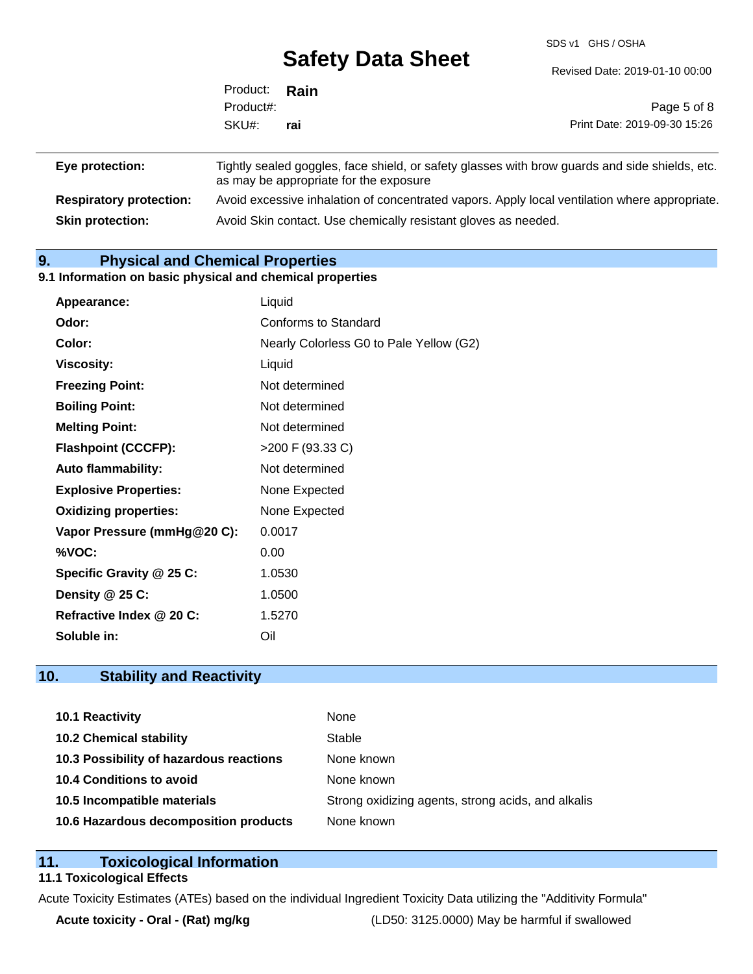SDS v1 GHS / OSHA

|               | $\sum$ | Revised Date: 2019-01-10 00:00 |
|---------------|--------|--------------------------------|
| Product: Rain |        |                                |
| Product#:     |        | Page 5 of 8                    |
| SKU#:         | rai    | Print Date: 2019-09-30 15:26   |
|               |        |                                |

| Eye protection:                | Tightly sealed goggles, face shield, or safety glasses with brow guards and side shields, etc.<br>as may be appropriate for the exposure |
|--------------------------------|------------------------------------------------------------------------------------------------------------------------------------------|
| <b>Respiratory protection:</b> | Avoid excessive inhalation of concentrated vapors. Apply local ventilation where appropriate.                                            |
| <b>Skin protection:</b>        | Avoid Skin contact. Use chemically resistant gloves as needed.                                                                           |

## **9. Physical and Chemical Properties**

### **9.1 Information on basic physical and chemical properties**

| Appearance:                  | Liquid                                  |
|------------------------------|-----------------------------------------|
| Odor:                        | Conforms to Standard                    |
| Color:                       | Nearly Colorless G0 to Pale Yellow (G2) |
| <b>Viscosity:</b>            | Liquid                                  |
| <b>Freezing Point:</b>       | Not determined                          |
| <b>Boiling Point:</b>        | Not determined                          |
| <b>Melting Point:</b>        | Not determined                          |
| <b>Flashpoint (CCCFP):</b>   | >200 F (93.33 C)                        |
| Auto flammability:           | Not determined                          |
| <b>Explosive Properties:</b> | None Expected                           |
| <b>Oxidizing properties:</b> | None Expected                           |
| Vapor Pressure (mmHg@20 C):  | 0.0017                                  |
| %VOC:                        | 0.00                                    |
| Specific Gravity @ 25 C:     | 1.0530                                  |
| Density $@25C$ :             | 1.0500                                  |
| Refractive Index @ 20 C:     | 1.5270                                  |
| Soluble in:                  | Oil                                     |

## **10. Stability and Reactivity**

| 10.1 Reactivity                         | None                                               |
|-----------------------------------------|----------------------------------------------------|
| <b>10.2 Chemical stability</b>          | Stable                                             |
| 10.3 Possibility of hazardous reactions | None known                                         |
| 10.4 Conditions to avoid                | None known                                         |
| 10.5 Incompatible materials             | Strong oxidizing agents, strong acids, and alkalis |
| 10.6 Hazardous decomposition products   | None known                                         |

## **11. Toxicological Information**

## **11.1 Toxicological Effects**

Acute Toxicity Estimates (ATEs) based on the individual Ingredient Toxicity Data utilizing the "Additivity Formula"

**Acute toxicity - Oral - (Rat) mg/kg** (LD50: 3125.0000) May be harmful if swallowed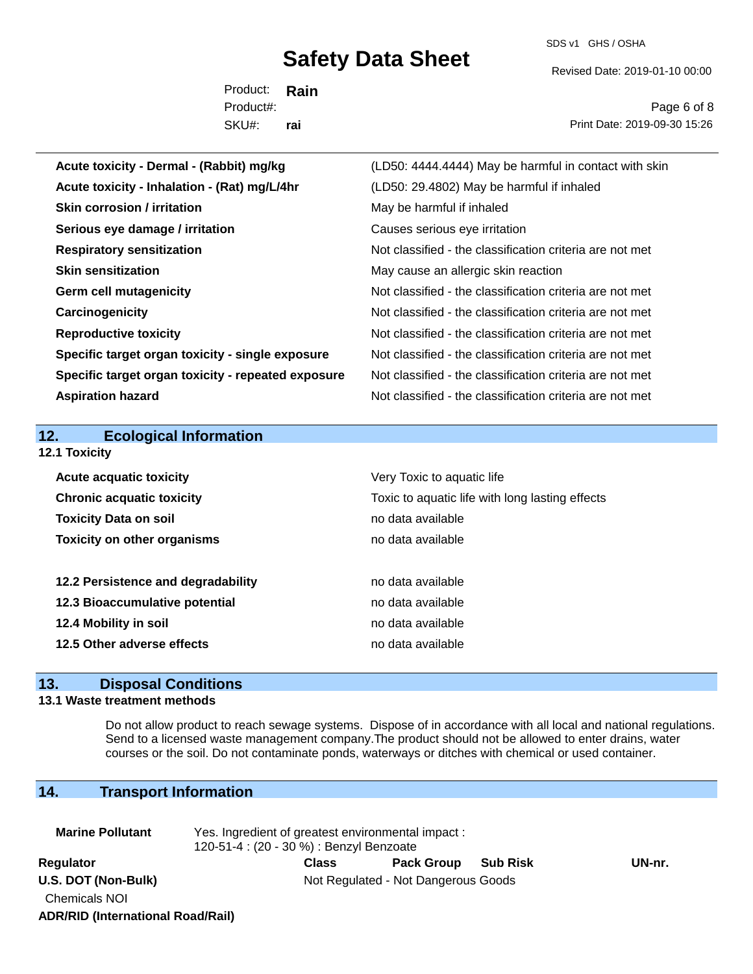SDS v1 GHS / OSHA

Revised Date: 2019-01-10 00:00

Product: **Rain** SKU#: Product#: **rai**

Page 6 of 8 Print Date: 2019-09-30 15:26

| Acute toxicity - Dermal - (Rabbit) mg/kg           | (LD50: 4444.4444) May be harmful in contact with skin    |
|----------------------------------------------------|----------------------------------------------------------|
| Acute toxicity - Inhalation - (Rat) mg/L/4hr       | (LD50: 29.4802) May be harmful if inhaled                |
| <b>Skin corrosion / irritation</b>                 | May be harmful if inhaled                                |
| Serious eye damage / irritation                    | Causes serious eye irritation                            |
| <b>Respiratory sensitization</b>                   | Not classified - the classification criteria are not met |
| <b>Skin sensitization</b>                          | May cause an allergic skin reaction                      |
| <b>Germ cell mutagenicity</b>                      | Not classified - the classification criteria are not met |
| Carcinogenicity                                    | Not classified - the classification criteria are not met |
| <b>Reproductive toxicity</b>                       | Not classified - the classification criteria are not met |
| Specific target organ toxicity - single exposure   | Not classified - the classification criteria are not met |
| Specific target organ toxicity - repeated exposure | Not classified - the classification criteria are not met |
| <b>Aspiration hazard</b>                           | Not classified - the classification criteria are not met |
|                                                    |                                                          |
|                                                    |                                                          |
| <b>Ecological Information</b><br>12.               |                                                          |
| 12.1 Toxicity                                      |                                                          |
| <b>Acute acquatic toxicity</b>                     | Very Toxic to aquatic life                               |
| <b>Chronic acquatic toxicity</b>                   | Toxic to aquatic life with long lasting effects          |
| <b>Toxicity Data on soil</b>                       | no data available                                        |
| <b>Toxicity on other organisms</b>                 | no data available                                        |
|                                                    |                                                          |
| 12.2 Persistence and degradability                 | no data available                                        |
| 12.3 Bioaccumulative potential                     | no data available                                        |
| 12.4 Mobility in soil                              | no data available                                        |
| 12.5 Other adverse effects                         | no data available                                        |

## **13. Disposal Conditions**

### **13.1 Waste treatment methods**

Do not allow product to reach sewage systems. Dispose of in accordance with all local and national regulations. Send to a licensed waste management company.The product should not be allowed to enter drains, water courses or the soil. Do not contaminate ponds, waterways or ditches with chemical or used container.

## **14. Transport Information**

**ADR/RID (International Road/Rail)**

| <b>Marine Pollutant</b>                     | Yes. Ingredient of greatest environmental impact:<br>120-51-4 : (20 - 30 %) : Benzyl Benzoate |              |                                     |                 |        |  |
|---------------------------------------------|-----------------------------------------------------------------------------------------------|--------------|-------------------------------------|-----------------|--------|--|
| Regulator                                   |                                                                                               | <b>Class</b> | <b>Pack Group</b>                   | <b>Sub Risk</b> | UN-nr. |  |
| U.S. DOT (Non-Bulk)<br><b>Chemicals NOI</b> |                                                                                               |              | Not Regulated - Not Dangerous Goods |                 |        |  |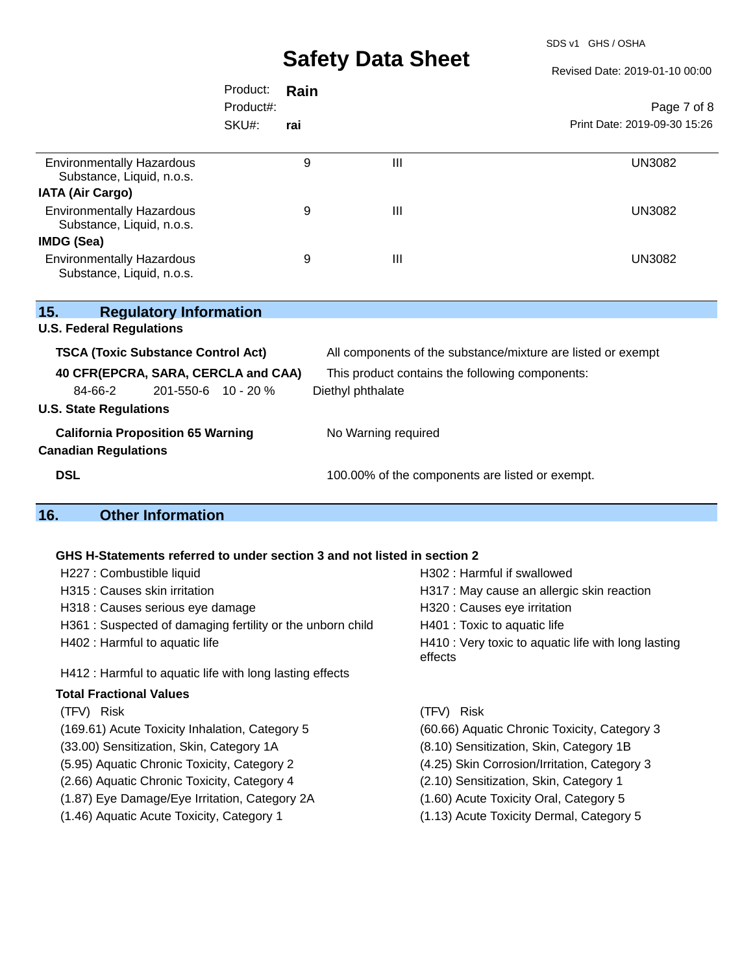SDS v1 GHS / OSHA

Revised Date: 2019-01-10 00:00

|                                                               | Product:  | Rain |                                                              |                              |  |  |
|---------------------------------------------------------------|-----------|------|--------------------------------------------------------------|------------------------------|--|--|
|                                                               | Product#: |      |                                                              | Page 7 of 8                  |  |  |
|                                                               | SKU#:     | rai  |                                                              | Print Date: 2019-09-30 15:26 |  |  |
|                                                               |           |      |                                                              |                              |  |  |
| <b>Environmentally Hazardous</b>                              |           | 9    | Ш                                                            | UN3082                       |  |  |
| Substance, Liquid, n.o.s.                                     |           |      |                                                              |                              |  |  |
| <b>IATA (Air Cargo)</b>                                       |           |      |                                                              |                              |  |  |
| <b>Environmentally Hazardous</b><br>Substance, Liquid, n.o.s. |           | 9    | III                                                          | UN3082                       |  |  |
| IMDG (Sea)                                                    |           |      |                                                              |                              |  |  |
| <b>Environmentally Hazardous</b><br>Substance, Liquid, n.o.s. |           | 9    | III                                                          | <b>UN3082</b>                |  |  |
|                                                               |           |      |                                                              |                              |  |  |
| 15.<br><b>Regulatory Information</b>                          |           |      |                                                              |                              |  |  |
| <b>U.S. Federal Regulations</b>                               |           |      |                                                              |                              |  |  |
| <b>TSCA (Toxic Substance Control Act)</b>                     |           |      | All components of the substance/mixture are listed or exempt |                              |  |  |
| 40 CFR(EPCRA, SARA, CERCLA and CAA)                           |           |      | This product contains the following components:              |                              |  |  |
| 84-66-2<br>$201 - 550 - 6$ 10 - 20 %                          |           |      | Diethyl phthalate                                            |                              |  |  |
| <b>U.S. State Regulations</b>                                 |           |      |                                                              |                              |  |  |

## **California Proposition 65 Warning** No Warning required

**Canadian Regulations**

**DSL DSL 100.00%** of the components are listed or exempt.

## **16. Other Information**

## **GHS H-Statements referred to under section 3 and not listed in section 2**

| H227 : Combustible liquid                                 | H302 : Harmful if swallowed                                    |  |  |
|-----------------------------------------------------------|----------------------------------------------------------------|--|--|
| H315 : Causes skin irritation                             | H317 : May cause an allergic skin reaction                     |  |  |
| H318 : Causes serious eye damage                          | H320 : Causes eye irritation                                   |  |  |
| H361: Suspected of damaging fertility or the unborn child | H401 : Toxic to aquatic life                                   |  |  |
| H402 : Harmful to aquatic life                            | H410 : Very toxic to aquatic life with long lasting<br>effects |  |  |
| H412 : Harmful to aquatic life with long lasting effects  |                                                                |  |  |
| <b>Total Fractional Values</b>                            |                                                                |  |  |
| (TFV) Risk                                                | (TFV) Risk                                                     |  |  |
| (169.61) Acute Toxicity Inhalation, Category 5            | (60.66) Aquatic Chronic Toxicity, Category 3                   |  |  |
| (33.00) Sensitization, Skin, Category 1A                  | (8.10) Sensitization, Skin, Category 1B                        |  |  |
| (5.95) Aquatic Chronic Toxicity, Category 2               | (4.25) Skin Corrosion/Irritation, Category 3                   |  |  |
| (2.66) Aquatic Chronic Toxicity, Category 4               | (2.10) Sensitization, Skin, Category 1                         |  |  |
| (1.87) Eye Damage/Eye Irritation, Category 2A             | (1.60) Acute Toxicity Oral, Category 5                         |  |  |
| (1.46) Aquatic Acute Toxicity, Category 1                 | (1.13) Acute Toxicity Dermal, Category 5                       |  |  |